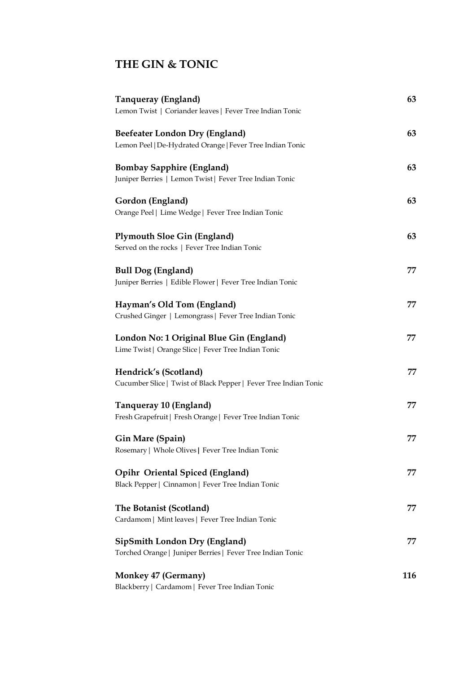## **THE GIN & TONIC**

| Tanqueray (England)<br>Lemon Twist   Coriander leaves   Fever Tree Indian Tonic                    | 63  |
|----------------------------------------------------------------------------------------------------|-----|
| Beefeater London Dry (England)<br>Lemon Peel   De-Hydrated Orange   Fever Tree Indian Tonic        | 63  |
| <b>Bombay Sapphire (England)</b><br>Juniper Berries   Lemon Twist   Fever Tree Indian Tonic        | 63  |
| Gordon (England)<br>Orange Peel   Lime Wedge   Fever Tree Indian Tonic                             | 63  |
| <b>Plymouth Sloe Gin (England)</b><br>Served on the rocks   Fever Tree Indian Tonic                | 63  |
| <b>Bull Dog (England)</b><br>Juniper Berries   Edible Flower   Fever Tree Indian Tonic             | 77  |
| Hayman's Old Tom (England)<br>Crushed Ginger   Lemongrass   Fever Tree Indian Tonic                | 77  |
| London No: 1 Original Blue Gin (England)<br>Lime Twist   Orange Slice   Fever Tree Indian Tonic    | 77  |
| Hendrick's (Scotland)<br>Cucumber Slice   Twist of Black Pepper   Fever Tree Indian Tonic          | 77  |
| Tanqueray 10 (England)<br>Fresh Grapefruit   Fresh Orange   Fever Tree Indian Tonic                | 77  |
| Gin Mare (Spain)<br>Rosemary   Whole Olives   Fever Tree Indian Tonic                              | 77  |
| <b>Opihr Oriental Spiced (England)</b><br>Black Pepper   Cinnamon   Fever Tree Indian Tonic        | 77  |
| The Botanist (Scotland)<br>Cardamom   Mint leaves   Fever Tree Indian Tonic                        | 77  |
| <b>SipSmith London Dry (England)</b><br>Torched Orange   Juniper Berries   Fever Tree Indian Tonic | 77  |
| <b>Monkey 47 (Germany)</b><br>Blackberry   Cardamom   Fever Tree Indian Tonic                      | 116 |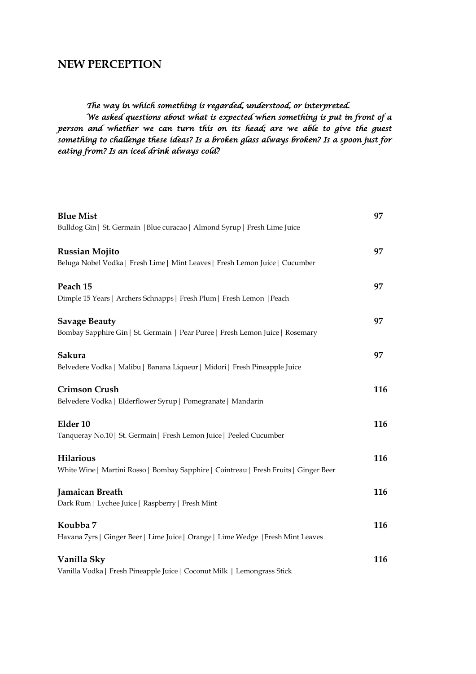#### **NEW PERCEPTION**

#### *The way in which something is regarded, understood, or interpreted.*

*We asked questions about what is expected when something is put in front of a*  person and whether we can turn this on its head; are we able to give the guest *something to challenge these ideas? Is a broken glass always broken? Is a spoon just for eating from? Is an iced drink always cold?* 

| <b>Blue Mist</b>                                                                      | 97  |
|---------------------------------------------------------------------------------------|-----|
| Bulldog Gin   St. Germain   Blue curacao   Almond Syrup   Fresh Lime Juice            |     |
| <b>Russian Mojito</b>                                                                 | 97  |
| Beluga Nobel Vodka   Fresh Lime   Mint Leaves   Fresh Lemon Juice   Cucumber          |     |
| Peach 15                                                                              | 97  |
| Dimple 15 Years   Archers Schnapps   Fresh Plum   Fresh Lemon   Peach                 |     |
| <b>Savage Beauty</b>                                                                  | 97  |
| Bombay Sapphire Gin   St. Germain   Pear Puree   Fresh Lemon Juice   Rosemary         |     |
| Sakura                                                                                | 97  |
| Belvedere Vodka   Malibu   Banana Liqueur   Midori   Fresh Pineapple Juice            |     |
| <b>Crimson Crush</b>                                                                  | 116 |
| Belvedere Vodka   Elderflower Syrup   Pomegranate   Mandarin                          |     |
| Elder 10                                                                              | 116 |
| Tanqueray No.10   St. Germain   Fresh Lemon Juice   Peeled Cucumber                   |     |
| <b>Hilarious</b>                                                                      | 116 |
| White Wine   Martini Rosso   Bombay Sapphire   Cointreau   Fresh Fruits   Ginger Beer |     |
| <b>Jamaican Breath</b>                                                                | 116 |
| Dark Rum   Lychee Juice   Raspberry   Fresh Mint                                      |     |
| Koubba 7                                                                              | 116 |
| Havana 7yrs   Ginger Beer   Lime Juice   Orange   Lime Wedge   Fresh Mint Leaves      |     |
| Vanilla Sky                                                                           | 116 |
| Vanilla Vodka   Fresh Pineapple Juice   Coconut Milk   Lemongrass Stick               |     |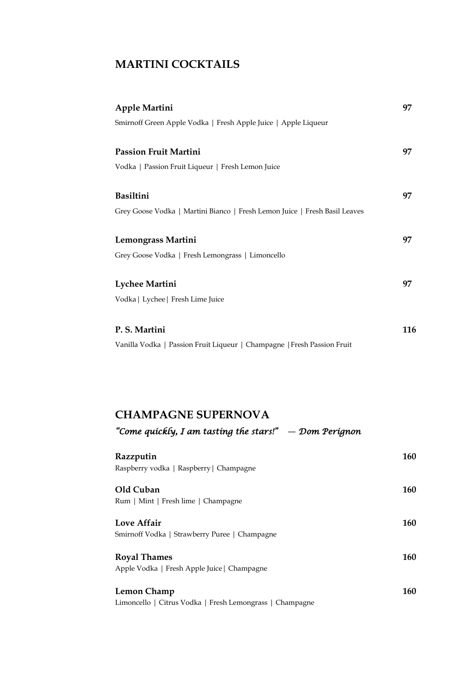## **MARTINI COCKTAILS**

| Apple Martini                                                              | 97  |
|----------------------------------------------------------------------------|-----|
| Smirnoff Green Apple Vodka   Fresh Apple Juice   Apple Liqueur             |     |
|                                                                            |     |
| <b>Passion Fruit Martini</b>                                               | 97  |
| Vodka   Passion Fruit Liqueur   Fresh Lemon Juice                          |     |
|                                                                            |     |
| <b>Basiltini</b>                                                           | 97  |
| Grey Goose Vodka   Martini Bianco   Fresh Lemon Juice   Fresh Basil Leaves |     |
|                                                                            |     |
| Lemongrass Martini                                                         | 97  |
| Grey Goose Vodka   Fresh Lemongrass   Limoncello                           |     |
|                                                                            |     |
| <b>Lychee Martini</b>                                                      | 97  |
| Vodka   Lychee   Fresh Lime Juice                                          |     |
|                                                                            |     |
| P. S. Martini                                                              | 116 |
| Vanilla Vodka   Passion Fruit Liqueur   Champagne   Fresh Passion Fruit    |     |

### **CHAMPAGNE SUPERNOVA**

|  | "Come quickly, I am tasting the stars!" — Dom Perignon |  |
|--|--------------------------------------------------------|--|
|--|--------------------------------------------------------|--|

| Razzputin<br>Raspberry vodka   Raspberry   Champagne                    | 160 |
|-------------------------------------------------------------------------|-----|
| Old Cuban<br>Rum   Mint   Fresh lime   Champagne                        | 160 |
| Love Affair<br>Smirnoff Vodka   Strawberry Puree   Champagne            | 160 |
| <b>Royal Thames</b><br>Apple Vodka   Fresh Apple Juice   Champagne      | 160 |
| Lemon Champ<br>Limoncello   Citrus Vodka   Fresh Lemongrass   Champagne | 160 |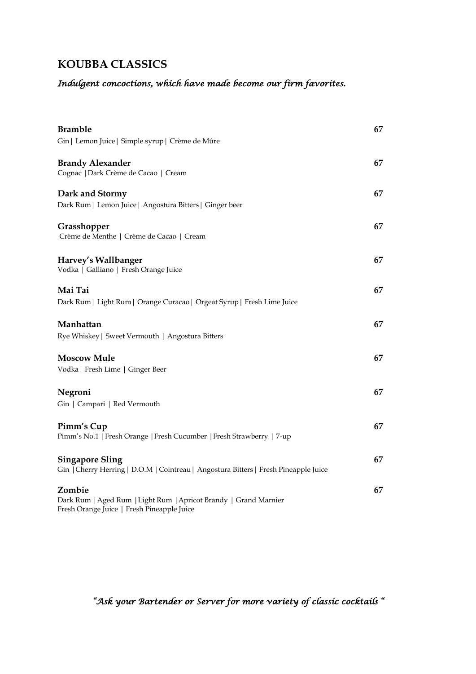## **KOUBBA CLASSICS**

## *Indulgent concoctions, which have made become our firm favorites.*

| <b>Bramble</b>                                                                                                           | 67 |
|--------------------------------------------------------------------------------------------------------------------------|----|
| Gin   Lemon Juice   Simple syrup   Crème de Mûre                                                                         |    |
| <b>Brandy Alexander</b><br>Cognac   Dark Crème de Cacao   Cream                                                          | 67 |
| Dark and Stormy<br>Dark Rum   Lemon Juice   Angostura Bitters   Ginger beer                                              | 67 |
| Grasshopper<br>Crème de Menthe   Crème de Cacao   Cream                                                                  | 67 |
| Harvey's Wallbanger<br>Vodka   Galliano   Fresh Orange Juice                                                             | 67 |
| Mai Tai<br>Dark Rum   Light Rum   Orange Curacao   Orgeat Syrup   Fresh Lime Juice                                       | 67 |
| Manhattan<br>Rye Whiskey   Sweet Vermouth   Angostura Bitters                                                            | 67 |
| <b>Moscow Mule</b><br>Vodka   Fresh Lime   Ginger Beer                                                                   | 67 |
| Negroni<br>Gin   Campari   Red Vermouth                                                                                  | 67 |
| Pimm's Cup<br>Pimm's No.1   Fresh Orange   Fresh Cucumber   Fresh Strawberry   7-up                                      | 67 |
| <b>Singapore Sling</b><br>Gin   Cherry Herring   D.O.M   Cointreau   Angostura Bitters   Fresh Pineapple Juice           | 67 |
| Zombie<br>Dark Rum   Aged Rum   Light Rum   Apricot Brandy   Grand Marnier<br>Fresh Orange Juice   Fresh Pineapple Juice | 67 |

*"Ask your Bartender or Server for more variety of classic cocktails "*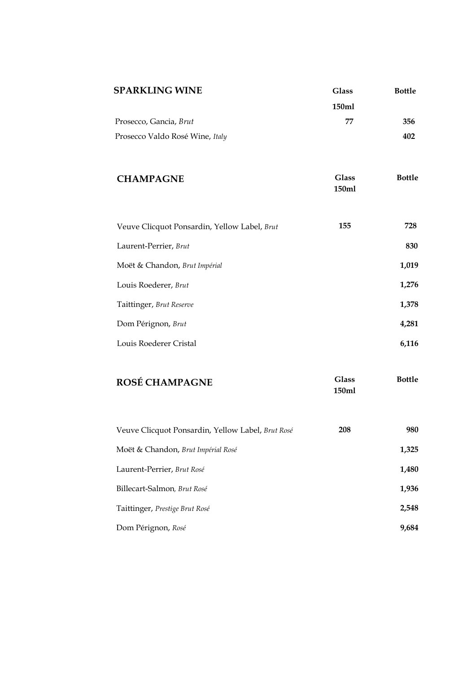| <b>Glass</b><br>150ml<br>77 | <b>Bottle</b><br>356<br>402 |
|-----------------------------|-----------------------------|
| <b>Glass</b><br>150ml       | <b>Bottle</b>               |
| 155                         | 728                         |
|                             | 830                         |
|                             | 1,019                       |
|                             | 1,276                       |
|                             | 1,378                       |
|                             | 4,281                       |
|                             | 6,116                       |
| <b>Glass</b><br>150ml       | <b>Bottle</b>               |
| 208                         | 980                         |
|                             | 1,325                       |
|                             | 1,480                       |
|                             |                             |

Billecart-Salmon*, Brut Rosé* **1,936**

Taittinger, *Prestige Brut Rosé* **2,548**

Dom Pérignon, *Rosé* **9,684**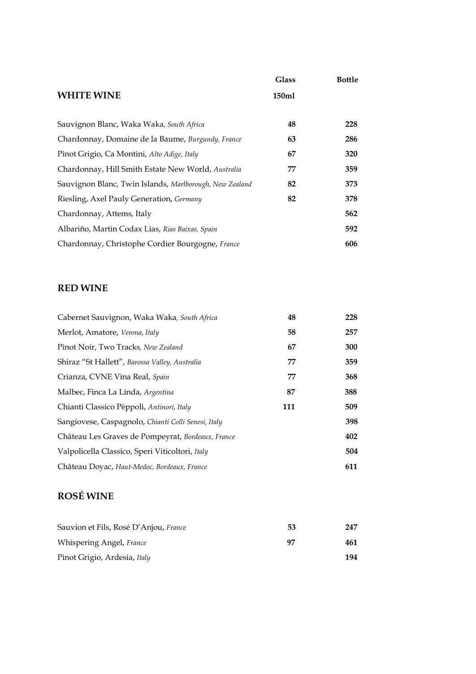|                                                         | <b>Glass</b> | <b>Bottle</b> |
|---------------------------------------------------------|--------------|---------------|
| <b>WHITE WINE</b>                                       | 150ml        |               |
| Sauvignon Blanc, Waka Waka, South Africa                | 48           | 228           |
| Chardonnay, Domaine de la Baume, Burgundy, France       | 63           | 286           |
| Pinot Grigio, Ca Montini, Alto Adige, Italy             | 67           | 320           |
| Chardonnay, Hill Smith Estate New World, Australia      | 77           | 359           |
| Sauvignon Blanc, Twin Islands, Marlborough, New Zealand | 82           | 373           |
| Riesling, Axel Pauly Generation, Germany                | 82           | 378           |
| Chardonnay, Attems, Italy                               |              | 562           |
| Albariño, Martin Codax Lias, Rias Baixas, Spain         |              | 592           |
| Chardonnay, Christophe Cordier Bourgogne, France        |              | 606           |

#### **RED WINE**

| Cabernet Sauvignon, Waka Waka, South Africa         | 48  | 228 |
|-----------------------------------------------------|-----|-----|
| Merlot, Amatore, Verona, Italy                      | 58  | 257 |
| Pinot Noir, Two Tracks, New Zealand                 | 67  | 300 |
| Shiraz "St Hallett", Barossa Valley, Australia      | 77  | 359 |
| Crianza, CVNE Vina Real, Spain                      | 77  | 368 |
| Malbec, Finca La Linda, Argentina                   | 87  | 388 |
| Chianti Classico Pèppoli, Antinori, Italy           | 111 | 509 |
| Sangiovese, Caspagnolo, Chianti Colli Senesi, Italy |     | 398 |
| Château Les Graves de Pompeyrat, Bordeaux, France   |     | 402 |
| Valpolicella Classico, Speri Viticoltori, Italy     |     | 504 |
| Château Doyac, Haut-Medoc, Bordeaux, France         |     | 611 |

## **ROSÉ WINE**

| Sauvion et Fils, Rosé D'Anjou, France | 53 | 247 |
|---------------------------------------|----|-----|
| Whispering Angel, France              | 97 | 461 |
| Pinot Grigio, Ardesia, Italy          |    | 194 |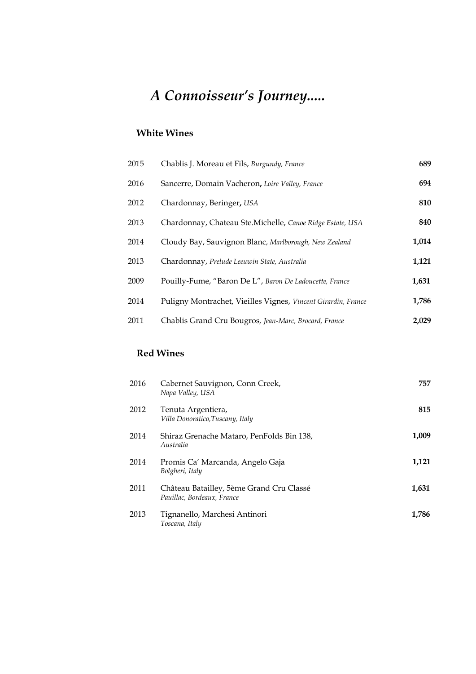## *A Connoisseur's Journey.....*

#### **White Wines**

| 2015 | Chablis J. Moreau et Fils, Burgundy, France                   | 689   |
|------|---------------------------------------------------------------|-------|
| 2016 | Sancerre, Domain Vacheron, Loire Valley, France               | 694   |
| 2012 | Chardonnay, Beringer, USA                                     | 810   |
| 2013 | Chardonnay, Chateau Ste.Michelle, Canoe Ridge Estate, USA     | 840   |
| 2014 | Cloudy Bay, Sauvignon Blanc, Marlborough, New Zealand         | 1,014 |
| 2013 | Chardonnay, Prelude Leeuwin State, Australia                  | 1,121 |
| 2009 | Pouilly-Fume, "Baron De L", Baron De Ladoucette, France       | 1,631 |
| 2014 | Puligny Montrachet, Vieilles Vignes, Vincent Girardin, France | 1,786 |
| 2011 | Chablis Grand Cru Bougros, Jean-Marc, Brocard, France         | 2.029 |

#### **Red Wines**

| 2016 | Cabernet Sauvignon, Conn Creek,<br>Napa Valley, USA                    | 757   |
|------|------------------------------------------------------------------------|-------|
| 2012 | Tenuta Argentiera,<br>Villa Donoratico, Tuscany, Italy                 | 815   |
| 2014 | Shiraz Grenache Mataro, PenFolds Bin 138,<br>Australia                 | 1,009 |
| 2014 | Promis Ca' Marcanda, Angelo Gaja<br>Bolgheri, Italy                    | 1,121 |
| 2011 | Château Batailley, 5ème Grand Cru Classé<br>Pauillac, Bordeaux, France | 1.631 |
| 2013 | Tignanello, Marchesi Antinori<br>Toscana, Italy                        | 1,786 |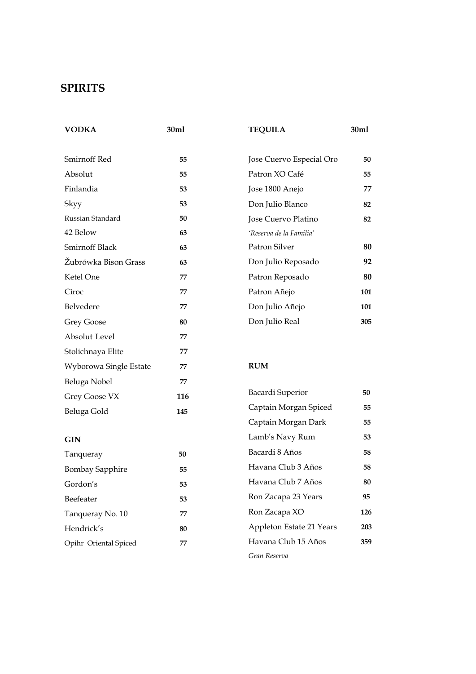## **SPIRITS**

| 30ml | <b>TEQUILA</b>           | 30ml |
|------|--------------------------|------|
| 55   | Jose Cuervo Especial Oro | 50   |
| 55   | Patron XO Café           | 55   |
| 53   | Jose 1800 Anejo          | 77   |
| 53   | Don Julio Blanco         | 82   |
| 50   | Jose Cuervo Platino      | 82   |
| 63   | 'Reserva de la Familia'  |      |
| 63   | Patron Silver            | 80   |
| 63   | Don Julio Reposado       | 92   |
| 77   | Patron Reposado          | 80   |
| 77   | Patron Añejo             | 101  |
| 77   | Don Julio Añejo          | 101  |
| 80   | Don Julio Real           | 305  |
| 77   |                          |      |
| 77   |                          |      |
| 77   | <b>RUM</b>               |      |
| 77   |                          |      |
| 116  | Bacardi Superior         | 50   |
| 145  | Captain Morgan Spiced    | 55   |
|      | Captain Morgan Dark      | 55   |
|      | Lamb's Navy Rum          | 53   |
| 50   | Bacardi 8 Años           | 58   |
| 55   | Havana Club 3 Años       | 58   |
| 53   | Havana Club 7 Años       | 80   |
| 53   | Ron Zacapa 23 Years      | 95   |
| 77   | Ron Zacapa XO            | 126  |
| 80   | Appleton Estate 21 Years | 203  |
|      |                          |      |

Havana Club 15 Años **359**

*Gran Reserva* 

Opihr Oriental Spiced **77**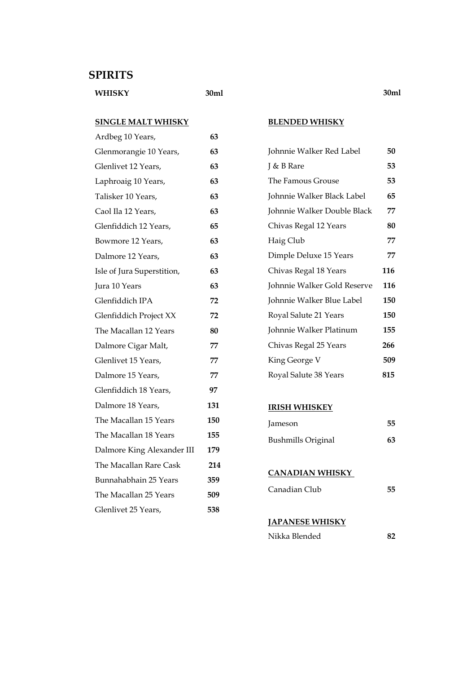#### **SPIRITS**

**WHISKY 30ml**

#### **SINGLE MALT WHISKY SINGLE PERSON**<br>And the 40 Vegas

| Ardbeg 10 Years,           | 63  |
|----------------------------|-----|
| Glenmorangie 10 Years,     | 63  |
| Glenlivet 12 Years,        | 63  |
| Laphroaig 10 Years,        | 63  |
| Talisker 10 Years,         | 63  |
| Caol Ila 12 Years,         | 63  |
| Glenfiddich 12 Years,      | 65  |
| Bowmore 12 Years,          | 63  |
| Dalmore 12 Years,          | 63  |
| Isle of Jura Superstition, | 63  |
| Jura 10 Years              | 63  |
| Glenfiddich IPA            | 72  |
| Glenfiddich Project XX     | 72  |
| The Macallan 12 Years      | 80  |
| Dalmore Cigar Malt,        | 77  |
| Glenlivet 15 Years,        | 77  |
| Dalmore 15 Years,          | 77  |
| Glenfiddich 18 Years,      | 97  |
| Dalmore 18 Years,          | 131 |
| The Macallan 15 Years      | 150 |
| The Macallan 18 Years      | 155 |
| Dalmore King Alexander III | 179 |
| The Macallan Rare Cask     | 214 |
| Bunnahabhain 25 Years      | 359 |
| The Macallan 25 Years      | 509 |
| Glenlivet 25 Years,        | 538 |

#### **BLENDED WHISKY**

| Johnnie Walker Red Label    | 50  |
|-----------------------------|-----|
| J & B Rare                  | 53  |
| The Famous Grouse           | 53  |
| Johnnie Walker Black Label  | 65  |
| Johnnie Walker Double Black | 77  |
| Chivas Regal 12 Years       | 80  |
| Haig Club                   | 77  |
| Dimple Deluxe 15 Years      | 77  |
| Chivas Regal 18 Years       | 116 |
| Johnnie Walker Gold Reserve | 116 |
| Johnnie Walker Blue Label   | 150 |
| Royal Salute 21 Years       | 150 |
| Johnnie Walker Platinum     | 155 |
| Chivas Regal 25 Years       | 266 |
| King George V               | 509 |
|                             |     |
| Royal Salute 38 Years       | 815 |

#### **IRISH WHISKEY**

| Jameson                   | 55 |
|---------------------------|----|
| <b>Bushmills Original</b> | 63 |

#### **CANADIAN WHISKY**

| Canadian Club |
|---------------|
|---------------|

#### **JAPANESE WHISKY**

| Nikka Blended | 82 |
|---------------|----|
|---------------|----|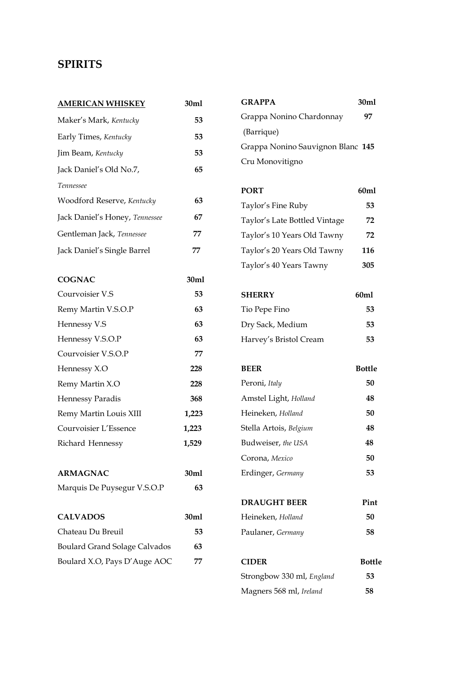## **SPIRITS**

| <b>AMERICAN WHISKEY</b>              | 30ml             |  |
|--------------------------------------|------------------|--|
| Maker's Mark, Kentucky               | 53               |  |
| Early Times, Kentucky                | 53               |  |
| Jim Beam, Kentucky                   | 53               |  |
| Jack Daniel's Old No.7,              | 65               |  |
| Tennessee                            |                  |  |
| Woodford Reserve, Kentucky           | 63               |  |
| Jack Daniel's Honey, Tennessee       | 67               |  |
| Gentleman Jack, Tennessee            | 77               |  |
| Jack Daniel's Single Barrel          | 77               |  |
| <b>COGNAC</b>                        | 30 <sub>m1</sub> |  |
| Courvoisier V.S                      | 53               |  |
| Remy Martin V.S.O.P                  | 63               |  |
| Hennessy V.S                         | 63               |  |
| Hennessy V.S.O.P                     | 63               |  |
| Courvoisier V.S.O.P                  | 77               |  |
| Hennessy X.O                         | 228              |  |
| Remy Martin X.O                      | 228              |  |
| Hennessy Paradis                     | 368              |  |
| Remy Martin Louis XIII               | 1,223            |  |
| Courvoisier L'Essence                | 1,223            |  |
| Richard Hennessy                     | 1,529            |  |
| <b>ARMAGNAC</b>                      | 30ml             |  |
| Marquis De Puysegur V.S.O.P          | 63               |  |
| <b>CALVADOS</b>                      | 30ml             |  |
| Chateau Du Breuil                    | 53               |  |
| <b>Boulard Grand Solage Calvados</b> | 63               |  |
| Boulard X.O, Pays D'Auge AOC         | 77               |  |

| <b>GRAPPA</b>                     | 30ml |
|-----------------------------------|------|
| Grappa Nonino Chardonnay          | 97   |
| (Barrique)                        |      |
| Grappa Nonino Sauvignon Blanc 145 |      |
| Cru Monovitigno                   |      |
|                                   |      |

| <b>PORT</b>                   | 60ml |
|-------------------------------|------|
| Taylor's Fine Ruby            | 53   |
| Taylor's Late Bottled Vintage | 72   |
| Taylor's 10 Years Old Tawny   | 72   |
| Taylor's 20 Years Old Tawny   | 116  |
| Taylor's 40 Years Tawny       | 305  |

| <b>SHERRY</b>          | 60ml |
|------------------------|------|
| Tio Pepe Fino          | 53   |
| Dry Sack, Medium       | 53.  |
| Harvey's Bristol Cream | 53.  |

| <b>BEER</b>            | Bottle |
|------------------------|--------|
| Peroni, Italy          | 50     |
| Amstel Light, Holland  | 48     |
| Heineken, Holland      | 50     |
| Stella Artois, Belgium | 48     |
| Budweiser, the USA     | 48     |
| Corona, Mexico         | 50     |
| Erdinger, Germany      | 53     |
|                        |        |
| <b>DRAUGHT BEER</b>    | Pint   |

| Heineken, Holland | 50  |
|-------------------|-----|
| Paulaner, Germany | 58. |

| <b>CIDER</b>              | <b>Bottle</b> |
|---------------------------|---------------|
| Strongbow 330 ml, England | 53            |
| Magners 568 ml, Ireland   | 58            |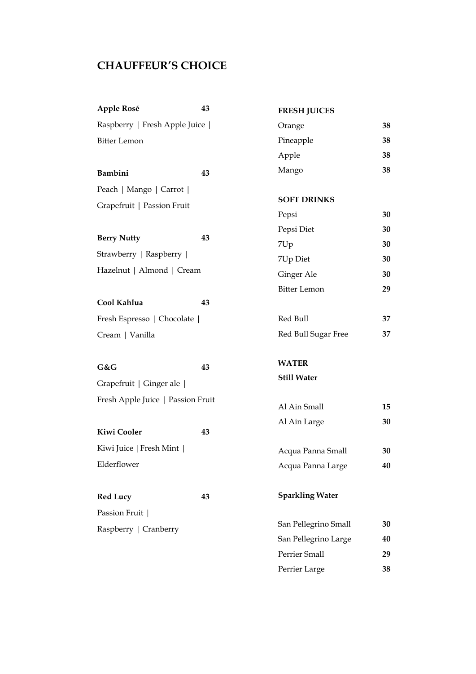## **CHAUFFEUR'S CHOICE**

| Apple Rosé                        | 43 | <b>FRESH JUICES</b>    |    |
|-----------------------------------|----|------------------------|----|
| Raspberry   Fresh Apple Juice     |    | Orange                 | 38 |
| <b>Bitter Lemon</b>               |    | Pineapple              | 38 |
|                                   |    | Apple                  | 38 |
| Bambini                           | 43 | Mango                  | 38 |
| Peach   Mango   Carrot            |    |                        |    |
| Grapefruit   Passion Fruit        |    | <b>SOFT DRINKS</b>     |    |
|                                   |    | Pepsi                  | 30 |
| <b>Berry Nutty</b>                | 43 | Pepsi Diet             | 30 |
|                                   |    | 7Up                    | 30 |
| Strawberry   Raspberry            |    | 7Up Diet               | 30 |
| Hazelnut   Almond   Cream         |    | Ginger Ale             | 30 |
|                                   |    | <b>Bitter Lemon</b>    | 29 |
| Cool Kahlua                       | 43 |                        |    |
| Fresh Espresso   Chocolate        |    | Red Bull               | 37 |
| Cream   Vanilla                   |    | Red Bull Sugar Free    | 37 |
|                                   |    |                        |    |
| G&G                               | 43 | <b>WATER</b>           |    |
| Grapefruit   Ginger ale           |    | <b>Still Water</b>     |    |
| Fresh Apple Juice   Passion Fruit |    |                        |    |
|                                   |    | Al Ain Small           | 15 |
| <b>Kiwi Cooler</b>                | 43 | Al Ain Large           | 30 |
| Kiwi Juice   Fresh Mint           |    |                        |    |
|                                   |    | Acqua Panna Small      | 30 |
| Elderflower                       |    | Acqua Panna Large      | 40 |
| <b>Red Lucy</b>                   | 43 | <b>Sparkling Water</b> |    |
| Passion Fruit                     |    |                        |    |
|                                   |    | San Pellegrino Small   | 30 |
| Raspberry   Cranberry             |    | San Pellegrino Large   | 40 |
|                                   |    | Perrier Small          | 29 |
|                                   |    | Perrier Large          | 38 |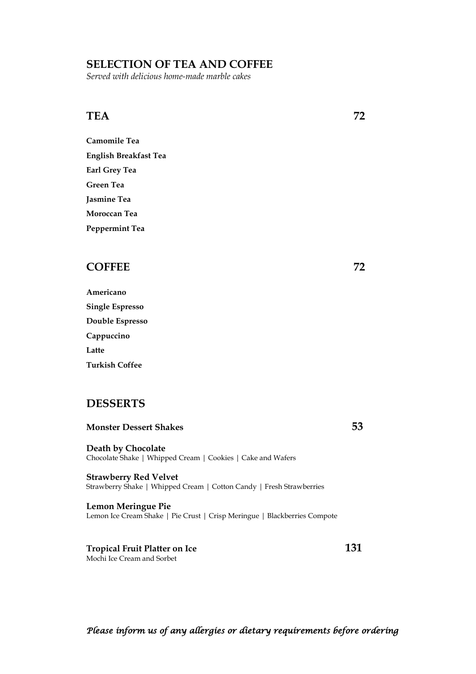#### **SELECTION OF TEA AND COFFEE**

*Served with delicious home-made marble cakes*

#### **TEA** 72

**Camomile Tea English Breakfast Tea Earl Grey Tea Green Tea Jasmine Tea Moroccan Tea Peppermint Tea**

#### **COFFEE 72**

| Americano              |
|------------------------|
| <b>Single Espresso</b> |
| Double Espresso        |
| Cappuccino             |
| Latte                  |
| <b>Turkish Coffee</b>  |

#### **DESSERTS**

#### **Monster Dessert Shakes 53**

**Death by Chocolate** Chocolate Shake | Whipped Cream | Cookies | Cake and Wafers

**Strawberry Red Velvet** Strawberry Shake | Whipped Cream | Cotton Candy | Fresh Strawberries

**Lemon Meringue Pie** Lemon Ice Cream Shake | Pie Crust | Crisp Meringue | Blackberries Compote

**Tropical Fruit Platter on Ice 131** Mochi Ice Cream and Sorbet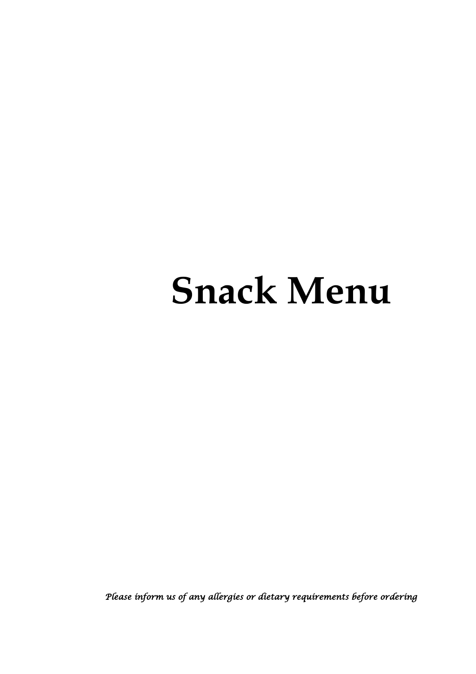# **Snack Menu**

 *Please inform us of any allergies or dietary requirements before ordering*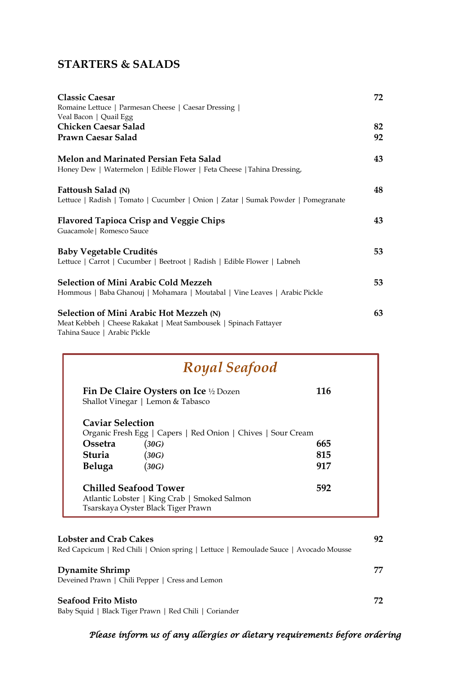## **STARTERS & SALADS**

| <b>Classic Caesar</b>                                                             | 72 |
|-----------------------------------------------------------------------------------|----|
| Romaine Lettuce   Parmesan Cheese   Caesar Dressing                               |    |
| Veal Bacon   Quail Egg                                                            |    |
| Chicken Caesar Salad                                                              | 82 |
| Prawn Caesar Salad                                                                | 92 |
| Melon and Marinated Persian Feta Salad                                            | 43 |
| Honey Dew   Watermelon   Edible Flower   Feta Cheese   Tahina Dressing,           |    |
| Fattoush Salad (N)                                                                | 48 |
| Lettuce   Radish   Tomato   Cucumber   Onion   Zatar   Sumak Powder   Pomegranate |    |
| <b>Flavored Tapioca Crisp and Veggie Chips</b>                                    | 43 |
| Guacamole   Romesco Sauce                                                         |    |
| <b>Baby Vegetable Crudités</b>                                                    | 53 |
| Lettuce   Carrot   Cucumber   Beetroot   Radish   Edible Flower   Labneh          |    |
| <b>Selection of Mini Arabic Cold Mezzeh</b>                                       | 53 |
| Hommous   Baba Ghanouj   Mohamara   Moutabal   Vine Leaves   Arabic Pickle        |    |
| Selection of Mini Arabic Hot Mezzeh (N)                                           | 63 |
| Meat Kebbeh   Cheese Rakakat   Meat Sambousek   Spinach Fattayer                  |    |
| Tahina Sauce   Arabic Pickle                                                      |    |

| Royal Seafood           |                                                                                                                    |     |
|-------------------------|--------------------------------------------------------------------------------------------------------------------|-----|
|                         | <b>Fin De Claire Oysters on Ice</b> $\frac{1}{2}$ Dozen<br>Shallot Vinegar   Lemon & Tabasco                       | 116 |
| <b>Caviar Selection</b> | Organic Fresh Egg   Capers   Red Onion   Chives   Sour Cream                                                       |     |
| <b>Ossetra</b>          | (30G)                                                                                                              | 665 |
| Sturia                  | (30G)                                                                                                              | 815 |
| Beluga                  | (30G)                                                                                                              | 917 |
|                         | <b>Chilled Seafood Tower</b><br>Atlantic Lobster   King Crab   Smoked Salmon<br>Tsarskaya Oyster Black Tiger Prawn | 592 |

| <b>Lobster and Crab Cakes</b>                                                        | 92  |
|--------------------------------------------------------------------------------------|-----|
| Red Capcicum   Red Chili   Onion spring   Lettuce   Remoulade Sauce   Avocado Mousse |     |
| <b>Dynamite Shrimp</b><br>Deveined Prawn   Chili Pepper   Cress and Lemon            | 77. |
| <b>Seafood Frito Misto</b><br>Baby Squid   Black Tiger Prawn   Red Chili   Coriander | 72. |

## *Please inform us of any allergies or dietary requirements before ordering*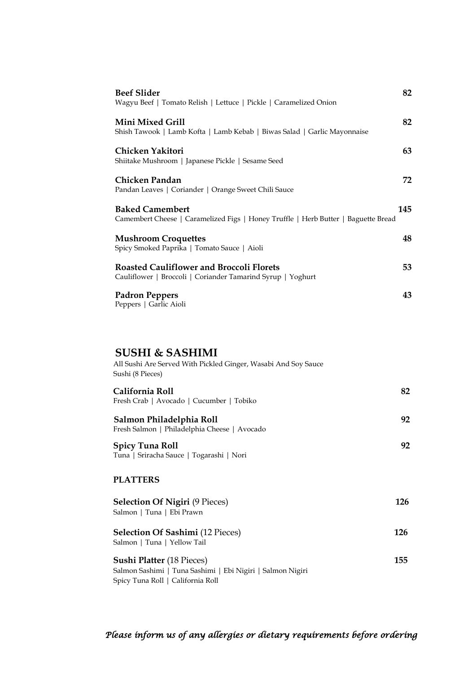| <b>Beef Slider</b><br>Wagyu Beef   Tomato Relish   Lettuce   Pickle   Caramelized Onion                        | 82  |
|----------------------------------------------------------------------------------------------------------------|-----|
| Mini Mixed Grill<br>Shish Tawook   Lamb Kofta   Lamb Kebab   Biwas Salad   Garlic Mayonnaise                   | 82  |
| Chicken Yakitori<br>Shiitake Mushroom   Japanese Pickle   Sesame Seed                                          | 63  |
| Chicken Pandan<br>Pandan Leaves   Coriander   Orange Sweet Chili Sauce                                         | 72  |
| <b>Baked Camembert</b><br>Camembert Cheese   Caramelized Figs   Honey Truffle   Herb Butter   Baguette Bread   | 145 |
| <b>Mushroom Croquettes</b><br>Spicy Smoked Paprika   Tomato Sauce   Aioli                                      | 48  |
| <b>Roasted Cauliflower and Broccoli Florets</b><br>Cauliflower   Broccoli   Coriander Tamarind Syrup   Yoghurt | 53  |
| <b>Padron Peppers</b><br>Peppers   Garlic Aioli                                                                | 43  |

#### **SUSHI & SASHIMI**

Spicy Tuna Roll | California Roll

| All Sushi Are Served With Pickled Ginger, Wasabi And Soy Sauce<br>Sushi (8 Pieces) |     |
|------------------------------------------------------------------------------------|-----|
| California Roll<br>Fresh Crab   Avocado   Cucumber   Tobiko                        | 82  |
| Salmon Philadelphia Roll<br>Fresh Salmon   Philadelphia Cheese   Avocado           | 92  |
| <b>Spicy Tuna Roll</b><br>Tuna   Sriracha Sauce   Togarashi   Nori                 | 92  |
| <b>PLATTERS</b>                                                                    |     |
| <b>Selection Of Nigiri</b> (9 Pieces)                                              | 126 |

| Salmon   Tuna   Ebi Prawn                                                                      | ---  |
|------------------------------------------------------------------------------------------------|------|
| <b>Selection Of Sashimi</b> (12 Pieces)<br>Salmon   Tuna   Yellow Tail                         | 126  |
| <b>Sushi Platter (18 Pieces)</b><br>Salmon Sashimi   Tuna Sashimi   Ebi Nigiri   Salmon Nigiri | 155. |

 *Please inform us of any allergies or dietary requirements before ordering*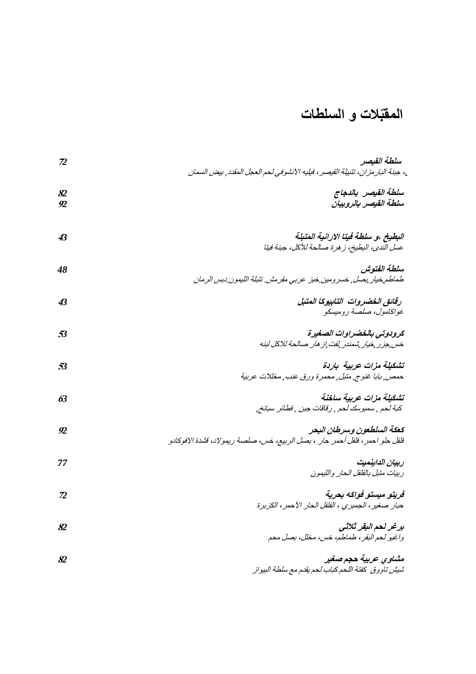# **المقّبالت و السلطات**

| ${\bf Z}$               | سلطة القيصر<br>ع، جبنة البار مزان، تتبيلة القيصر ، فيليه الأنشوفي لـمم الـعجل المقدد <sub>,</sub> بيض السمان |
|-------------------------|--------------------------------------------------------------------------------------------------------------|
| 82<br>92                | سلطة القيصر بالدجاج<br>سلطة القيصر بالروبيان                                                                 |
| 43                      | ا <b>لبطيخ ،و سلطة فيتا الارانية المتبلة</b><br>عسل الندي، البطيخ، زهرة صالحة للأكل، جبنة فيتا               |
| 48                      | سلطة الفتوش<br>طماطم خيار يصل ¸ خسر ومين خبز عربي مقرمش تتبلة الليمون دبس الرمان                             |
| 43                      | رقانق الخضروات التابيوكا المتبل<br>غواكامول، صلصة روميسكو                                                    |
| 53                      | كرودوتي بالخضراوات الصغيرة<br>خس جزر فيار شمندر لفت إز هار صالحة للاكل لبنه                                  |
| 53                      | تشكيلة مزات عربية باردة<br>حمص ِ بابا غنوج ِ متبل ِ محمرة ورق عنب ِ مخللات عربية                             |
| 63                      | تشكيلة مزات عربية ساخنة<br>كبة لحم , سمبوسك لحم , رقاقات جبن , فطائر سبانخ,                                  |
| 92                      | كعكة السلطعون وسرطان البحر<br>فلفل حلو احمر ، فلفل أحمر حار ، بصل الربيع، خس، صلصة ريمولاد، قشدة الافوكادو   |
| 77                      | ربيان الداينميت<br>ربيات متبل بالفلفل الحار والليمون                                                         |
| $\mathcal{\mathcal{D}}$ | ڤريتو ميستو ڤولکه بحرية<br>حبار صغير ، الجمبري ، الفلفل الحار الأحمر ، الكزبرة                               |
| 82                      | برغر لحم البقر ثلاثى<br>واغيو لحم النقر ، طماطم، خس، مخلل، بصل محم                                           |
| 82                      | مشاوي عربية حجم صغير<br>شيش تاووق كفتة اللحم كباب لحم يقدم مع سلطة البيواز                                   |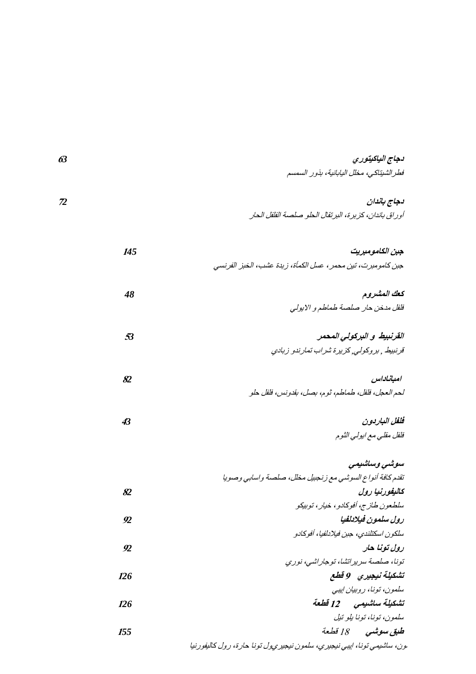| 63 | دجاج الياكيتوري                                       |
|----|-------------------------------------------------------|
|    | فطر الشيناكي، مخلل اليابانية، بذور السمسم             |
|    |                                                       |
|    | دجاج باندان                                           |
|    | أوراق باندان، كزبرة، البرتقال الحلو صلصة الفلفل الحار |

| جبن الكامومبريت                                                         | 145            |
|-------------------------------------------------------------------------|----------------|
| جبن كامومبرت، تين محمر ، عسل الكمأة، زبدة عشب، الخبز الفرنسي            |                |
| كعك المشروم                                                             | 48             |
| فلفل مدخن حار صلصة طماطم والابولي                                       |                |
|                                                                         |                |
| القرنبيط و البركولي المحمر                                              | 53             |
| قرنبيط , بروكولي, كزيرة شراب تمارندو زبادي                              |                |
| امباناداس                                                               | 82             |
| لحم العجل، فلفل، طماطم، ثوم، بصل، بقدونس، فلفل حلو                      |                |
| فلغل الباربون                                                           | 43             |
| فلفل مقلبي مع ابولبي الثوم                                              |                |
|                                                                         |                |
| سوشی وساشیمی                                                            |                |
| تقدم كافة أنواع السوشي مع زنجبيل مخلل، صلصة واسابي وصويا                |                |
| كاليفورنيا رول                                                          | 82             |
| سلطعون طازج، أفوكادو، خيار، توبيكو                                      |                |
| رول سلمون فيلادلفيا                                                     | $\mathfrak{D}$ |
| سلكون اسكتلندي، جبن فيلادلفيا، أفوكادو                                  |                |
| رول تونا حار                                                            | $\mathfrak{D}$ |
| تونا، صلصة سرير اتشا، توجار اشي، نوري                                   |                |
| تشكيلة نيجيري وقطع                                                      | 126            |
| سلمون، تونا، روبيان إييي                                                |                |
| تشكيلة ساشيمي 12 قطعة                                                   | 126            |
| سلمون، تونا، تونا بلو تيل                                               |                |
| طبق سوشى 18 قطعة                                                        | 155            |
| يون، ساشيمي تونا، اپيي نيجيزي، سلمون نيجيزيول تونا حارة، رول كاليفورنيا |                |